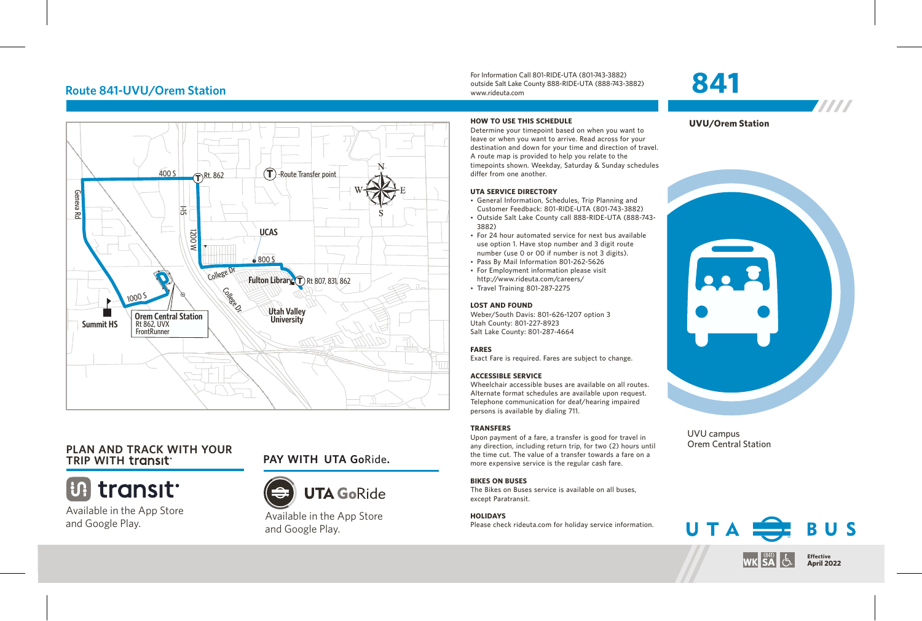# **Route 841-UVU/Orem Station**



# **PLAN AND TRACK WITH YOUR**



Available in the App Store and Google Play.

# **TRIP WITH PAY WITH UTA Go**Ride**.**



Available in the App Store and Google Play.

For Information Call 801-RIDE-UTA (801-743-3882) outside Salt Lake County 888-RIDE-UTA (888-743-3882) www.rideuta.com

Determine your timepoint based on when you want to leave or when you want to arrive. Read across for your destination and down for your time and direction of travel. A route map is provided to help you relate to the

• General Information, Schedules, Trip Planning and Customer Feedback: 801-RIDE-UTA (801-743-3882)

• For 24 hour automated service for next bus available use option 1. Have stop number and 3 digit route number (use 0 or 00 if number is not 3 digits). • Pass By Mail Information 801-262-5626 • For Employment information please visit http://www.rideuta.com/careers/  $\cdot$  Travel Training 801-287-2275

Weber/South Davis: 801-626-1207 option 3

Exact Fare is required. Fares are subject to change.

Wheelchair accessible buses are available on all routes. Alternate format schedules are available upon request. Telephone communication for deaf/hearing impaired

**HOW TO USE THIS SCHEDULE**

differ from one another. **UTA SERVICE DIRECTORY**

3882)

**LOST AND FOUND**

Utah County: 801-227-8923 Salt Lake County: 801-287-4664

**ACCESSIBLE SERVICE** 

persons is available by dialing 711.



**841**



**TITTI** 

UVU campus Orem Central Station



### **TRANSFERS**

**FARES**

Upon payment of a fare, a transfer is good for travel in any direction, including return trip, for two (2) hours until the time cut. The value of a transfer towards a fare on a more expensive service is the regular cash fare.

### **BIKES ON BUSES**

The Bikes on Buses service is available on all buses, except Paratransit.

### **HOLIDAYS**

Please check rideuta.com for holiday service information.